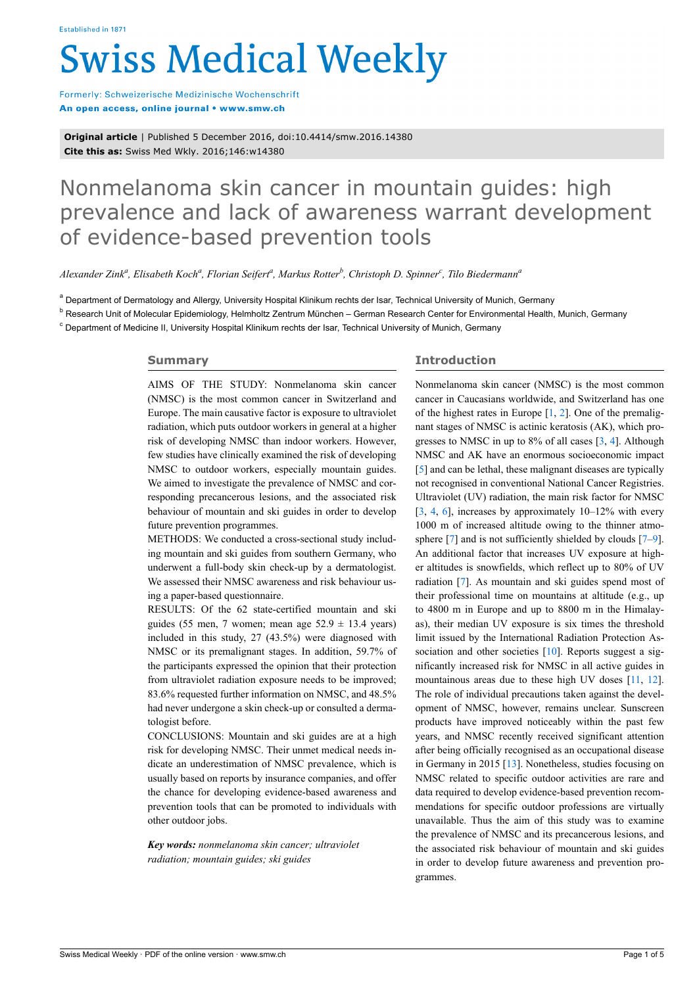# **Swiss Medical Weekly**

Formerly: Schweizerische Medizinische Wochenschrift An open access, online journal • www.smw.ch

**Original article** | Published 5 December 2016, doi:10.4414/smw.2016.14380 **Cite this as:** Swiss Med Wkly. 2016;146:w14380

# Nonmelanoma skin cancer in mountain guides: high prevalence and lack of awareness warrant development of evidence-based prevention tools

*Alexander Zink<sup>a</sup> , Elisabeth Koch<sup>a</sup> , Florian Seifert<sup>a</sup> , Markus Rotter<sup>b</sup> , Christoph D. Spinner<sup>c</sup> , Tilo Biedermann<sup>a</sup>*

<sup>a</sup> Department of Dermatology and Allergy, University Hospital Klinikum rechts der Isar, Technical University of Munich, Germany

<sup>b</sup> Research Unit of Molecular Epidemiology, Helmholtz Zentrum München – German Research Center for Environmental Health, Munich, Germany

<sup>c</sup> Department of Medicine II, University Hospital Klinikum rechts der Isar, Technical University of Munich, Germany

# **Summary**

AIMS OF THE STUDY: Nonmelanoma skin cancer (NMSC) is the most common cancer in Switzerland and Europe. The main causative factor is exposure to ultraviolet radiation, which puts outdoor workers in general at a higher risk of developing NMSC than indoor workers. However, few studies have clinically examined the risk of developing NMSC to outdoor workers, especially mountain guides. We aimed to investigate the prevalence of NMSC and corresponding precancerous lesions, and the associated risk behaviour of mountain and ski guides in order to develop future prevention programmes.

METHODS: We conducted a cross-sectional study including mountain and ski guides from southern Germany, who underwent a full-body skin check-up by a dermatologist. We assessed their NMSC awareness and risk behaviour using a paper-based questionnaire.

RESULTS: Of the 62 state-certified mountain and ski guides (55 men, 7 women; mean age  $52.9 \pm 13.4$  years) included in this study, 27 (43.5%) were diagnosed with NMSC or its premalignant stages. In addition, 59.7% of the participants expressed the opinion that their protection from ultraviolet radiation exposure needs to be improved; 83.6% requested further information on NMSC, and 48.5% had never undergone a skin check-up or consulted a dermatologist before.

CONCLUSIONS: Mountain and ski guides are at a high risk for developing NMSC. Their unmet medical needs indicate an underestimation of NMSC prevalence, which is usually based on reports by insurance companies, and offer the chance for developing evidence-based awareness and prevention tools that can be promoted to individuals with other outdoor jobs.

*Key words: nonmelanoma skin cancer; ultraviolet radiation; mountain guides; ski guides*

# **Introduction**

Nonmelanoma skin cancer (NMSC) is the most common cancer in Caucasians worldwide, and Switzerland has one of the highest rates in Europe  $[1, 2]$  $[1, 2]$  $[1, 2]$  $[1, 2]$ . One of the premalignant stages of NMSC is actinic keratosis (AK), which progresses to NMSC in up to 8% of all cases [\[3,](#page-2-2) [4](#page-3-0)]. Although NMSC and AK have an enormous socioeconomic impact [[5](#page-3-1)] and can be lethal, these malignant diseases are typically not recognised in conventional National Cancer Registries. Ultraviolet (UV) radiation, the main risk factor for NMSC  $[3, 4, 6]$  $[3, 4, 6]$  $[3, 4, 6]$  $[3, 4, 6]$  $[3, 4, 6]$  $[3, 4, 6]$  $[3, 4, 6]$ , increases by approximately  $10-12\%$  with every 1000 m of increased altitude owing to the thinner atmo-sphere [[7](#page-3-3)] and is not sufficiently shielded by clouds [\[7–](#page-3-3)[9\]](#page-3-4). An additional factor that increases UV exposure at higher altitudes is snowfields, which reflect up to 80% of UV radiation [[7](#page-3-3)]. As mountain and ski guides spend most of their professional time on mountains at altitude (e.g., up to 4800 m in Europe and up to 8800 m in the Himalayas), their median UV exposure is six times the threshold limit issued by the International Radiation Protection As-sociation and other societies [\[10](#page-3-5)]. Reports suggest a significantly increased risk for NMSC in all active guides in mountainous areas due to these high UV doses [\[11,](#page-3-6) [12\]](#page-3-0). The role of individual precautions taken against the development of NMSC, however, remains unclear. Sunscreen products have improved noticeably within the past few years, and NMSC recently received significant attention after being officially recognised as an occupational disease in Germany in 2015 [\[13](#page-3-7)]. Nonetheless, studies focusing on NMSC related to specific outdoor activities are rare and data required to develop evidence-based prevention recommendations for specific outdoor professions are virtually unavailable. Thus the aim of this study was to examine the prevalence of NMSC and its precancerous lesions, and the associated risk behaviour of mountain and ski guides in order to develop future awareness and prevention programmes.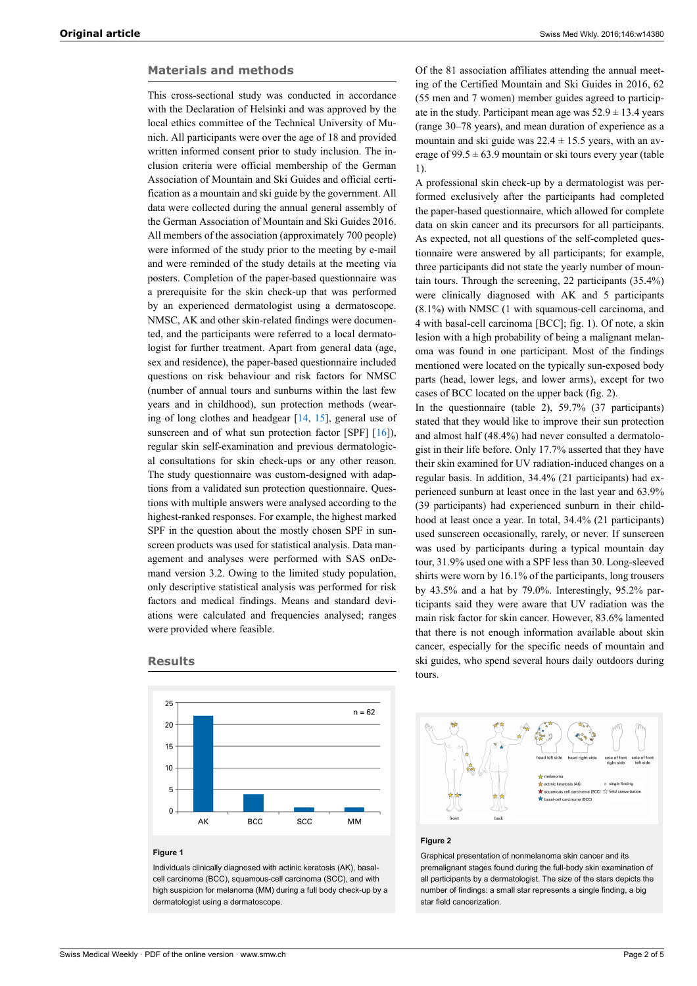# **Materials and methods**

This cross-sectional study was conducted in accordance with the Declaration of Helsinki and was approved by the local ethics committee of the Technical University of Munich. All participants were over the age of 18 and provided written informed consent prior to study inclusion. The inclusion criteria were official membership of the German Association of Mountain and Ski Guides and official certification as a mountain and ski guide by the government. All data were collected during the annual general assembly of the German Association of Mountain and Ski Guides 2016. All members of the association (approximately 700 people) were informed of the study prior to the meeting by e-mail and were reminded of the study details at the meeting via posters. Completion of the paper-based questionnaire was a prerequisite for the skin check-up that was performed by an experienced dermatologist using a dermatoscope. NMSC, AK and other skin-related findings were documented, and the participants were referred to a local dermatologist for further treatment. Apart from general data (age, sex and residence), the paper-based questionnaire included questions on risk behaviour and risk factors for NMSC (number of annual tours and sunburns within the last few years and in childhood), sun protection methods (wearing of long clothes and headgear [\[14](#page-3-8), [15\]](#page-3-9), general use of sunscreen and of what sun protection factor [SPF] [\[16](#page-3-10)]), regular skin self-examination and previous dermatological consultations for skin check-ups or any other reason. The study questionnaire was custom-designed with adaptions from a validated sun protection questionnaire. Questions with multiple answers were analysed according to the highest-ranked responses. For example, the highest marked SPF in the question about the mostly chosen SPF in sunscreen products was used for statistical analysis. Data management and analyses were performed with SAS onDemand version 3.2. Owing to the limited study population, only descriptive statistical analysis was performed for risk factors and medical findings. Means and standard deviations were calculated and frequencies analysed; ranges were provided where feasible.





## **Figure 1**

Individuals clinically diagnosed with actinic keratosis (AK), basalcell carcinoma (BCC), squamous-cell carcinoma (SCC), and with high suspicion for melanoma (MM) during a full body check-up by a dermatologist using a dermatoscope.

Of the 81 association affiliates attending the annual meeting of the Certified Mountain and Ski Guides in 2016, 62 (55 men and 7 women) member guides agreed to participate in the study. Participant mean age was  $52.9 \pm 13.4$  years (range 30–78 years), and mean duration of experience as a mountain and ski guide was  $22.4 \pm 15.5$  years, with an average of  $99.5 \pm 63.9$  mountain or ski tours every year (table 1).

A professional skin check-up by a dermatologist was performed exclusively after the participants had completed the paper-based questionnaire, which allowed for complete data on skin cancer and its precursors for all participants. As expected, not all questions of the self-completed questionnaire were answered by all participants; for example, three participants did not state the yearly number of mountain tours. Through the screening, 22 participants (35.4%) were clinically diagnosed with AK and 5 participants (8.1%) with NMSC (1 with squamous-cell carcinoma, and 4 with basal-cell carcinoma [BCC]; fig. 1). Of note, a skin lesion with a high probability of being a malignant melanoma was found in one participant. Most of the findings mentioned were located on the typically sun-exposed body parts (head, lower legs, and lower arms), except for two cases of BCC located on the upper back (fig. 2).

In the questionnaire (table 2), 59.7% (37 participants) stated that they would like to improve their sun protection and almost half (48.4%) had never consulted a dermatologist in their life before. Only 17.7% asserted that they have their skin examined for UV radiation-induced changes on a regular basis. In addition, 34.4% (21 participants) had experienced sunburn at least once in the last year and 63.9% (39 participants) had experienced sunburn in their childhood at least once a year. In total, 34.4% (21 participants) used sunscreen occasionally, rarely, or never. If sunscreen was used by participants during a typical mountain day tour, 31.9% used one with a SPF less than 30. Long-sleeved shirts were worn by 16.1% of the participants, long trousers by 43.5% and a hat by 79.0%. Interestingly, 95.2% participants said they were aware that UV radiation was the main risk factor for skin cancer. However, 83.6% lamented that there is not enough information available about skin cancer, especially for the specific needs of mountain and ski guides, who spend several hours daily outdoors during tours.



#### **Figure 2**

Graphical presentation of nonmelanoma skin cancer and its premalignant stages found during the full-body skin examination of all participants by a dermatologist. The size of the stars depicts the number of findings: a small star represents a single finding, a big star field cancerization.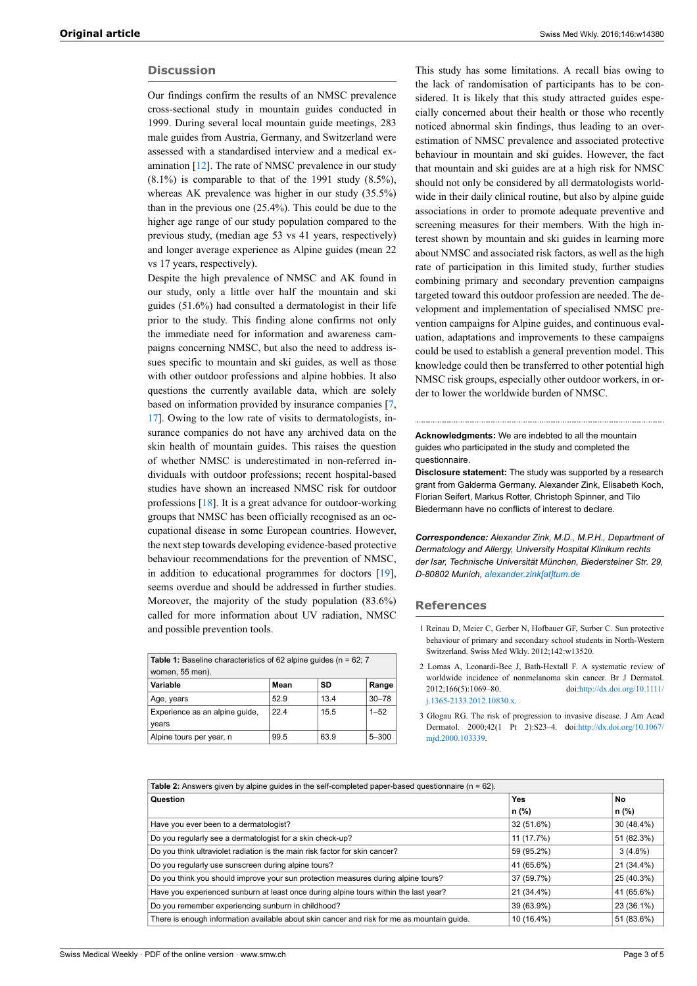# **Discussion**

Our findings confirm the results of an NMSC prevalence cross-sectional study in mountain guides conducted in 1999. During several local mountain guide meetings, 283 male guides from Austria, Germany, and Switzerland were assessed with a standardised interview and a medical examination [\[12](#page-3-0)]. The rate of NMSC prevalence in our study  $(8.1\%)$  is comparable to that of the 1991 study  $(8.5\%)$ , whereas AK prevalence was higher in our study (35.5%) than in the previous one (25.4%). This could be due to the higher age range of our study population compared to the previous study, (median age 53 vs 41 years, respectively) and longer average experience as Alpine guides (mean 22 vs 17 years, respectively).

Despite the high prevalence of NMSC and AK found in our study, only a little over half the mountain and ski guides (51.6%) had consulted a dermatologist in their life prior to the study. This finding alone confirms not only the immediate need for information and awareness campaigns concerning NMSC, but also the need to address issues specific to mountain and ski guides, as well as those with other outdoor professions and alpine hobbies. It also questions the currently available data, which are solely based on information provided by insurance companies [[7](#page-3-3), [17](#page-3-11)]. Owing to the low rate of visits to dermatologists, insurance companies do not have any archived data on the skin health of mountain guides. This raises the question of whether NMSC is underestimated in non-referred individuals with outdoor professions; recent hospital-based studies have shown an increased NMSC risk for outdoor professions [\[18](#page-3-12)]. It is a great advance for outdoor-working groups that NMSC has been officially recognised as an occupational disease in some European countries. However, the next step towards developing evidence-based protective behaviour recommendations for the prevention of NMSC, in addition to educational programmes for doctors [\[19](#page-3-13)], seems overdue and should be addressed in further studies. Moreover, the majority of the study population (83.6%) called for more information about UV radiation, NMSC and possible prevention tools.

<span id="page-2-2"></span><span id="page-2-1"></span><span id="page-2-0"></span>

| <b>Table 1:</b> Baseline characteristics of 62 alpine quides ( $n = 62$ ; 7 |      |      |           |  |
|-----------------------------------------------------------------------------|------|------|-----------|--|
| women, 55 men).                                                             |      |      |           |  |
| Variable                                                                    | Mean | SD   | Range     |  |
| Age, years                                                                  | 52.9 | 13.4 | $30 - 78$ |  |
| Experience as an alpine quide,<br>years                                     | 224  | 15.5 | $1 - 52$  |  |
| Alpine tours per year, n                                                    | 99.5 | 63.9 | $5 - 300$ |  |

This study has some limitations. A recall bias owing to the lack of randomisation of participants has to be considered. It is likely that this study attracted guides especially concerned about their health or those who recently noticed abnormal skin findings, thus leading to an overestimation of NMSC prevalence and associated protective behaviour in mountain and ski guides. However, the fact that mountain and ski guides are at a high risk for NMSC should not only be considered by all dermatologists worldwide in their daily clinical routine, but also by alpine guide associations in order to promote adequate preventive and screening measures for their members. With the high interest shown by mountain and ski guides in learning more about NMSC and associated risk factors, as well as the high rate of participation in this limited study, further studies combining primary and secondary prevention campaigns targeted toward this outdoor profession are needed. The development and implementation of specialised NMSC prevention campaigns for Alpine guides, and continuous evaluation, adaptations and improvements to these campaigns could be used to establish a general prevention model. This knowledge could then be transferred to other potential high NMSC risk groups, especially other outdoor workers, in order to lower the worldwide burden of NMSC.

**Acknowledgments:** We are indebted to all the mountain guides who participated in the study and completed the questionnaire.

**Disclosure statement:** The study was supported by a research grant from Galderma Germany. Alexander Zink, Elisabeth Koch, Florian Seifert, Markus Rotter, Christoph Spinner, and Tilo Biedermann have no conflicts of interest to declare.

*Correspondence: Alexander Zink, M.D., M.P.H., Department of Dermatology and Allergy, University Hospital Klinikum rechts der Isar, Technische Universität München, Biedersteiner Str. 29, D-80802 Munich, [alexander.zink\[at\]tum.de](mailto:alexander.zink@tum.de)*

### **References**

- 1 Reinau D, Meier C, Gerber N, Hofbauer GF, Surber C. Sun protective behaviour of primary and secondary school students in North-Western Switzerland. Swiss Med Wkly. 2012;142:w13520.
- 2 Lomas A, Leonardi-Bee J, Bath-Hextall F. A systematic review of worldwide incidence of nonmelanoma skin cancer. Br J Dermatol. 2012;166(5):1069–80. doi[:http://dx.doi.org/10.1111/](http://dx.doi.org/10.1111/j.1365-2133.2012.10830.x) [j.1365-2133.2012.10830.x](http://dx.doi.org/10.1111/j.1365-2133.2012.10830.x).
- 3 Glogau RG. The risk of progression to invasive disease. J Am Acad Dermatol. 2000;42(1 Pt 2):S23–4. doi:[http://dx.doi.org/10.1067/](http://dx.doi.org/10.1067/mjd.2000.103339) [mjd.2000.103339](http://dx.doi.org/10.1067/mjd.2000.103339).

| <b>Table 2:</b> Answers given by alpine quides in the self-completed paper-based questionnaire $(n = 62)$ . |            |            |  |  |
|-------------------------------------------------------------------------------------------------------------|------------|------------|--|--|
| Question                                                                                                    | Yes        | No         |  |  |
|                                                                                                             | n (%)      | n (%)      |  |  |
| Have you ever been to a dermatologist?                                                                      | 32 (51.6%) | 30 (48.4%) |  |  |
| Do you regularly see a dermatologist for a skin check-up?                                                   | 11 (17.7%) | 51 (82.3%) |  |  |
| Do you think ultraviolet radiation is the main risk factor for skin cancer?                                 | 59 (95.2%) | $3(4.8\%)$ |  |  |
| Do you regularly use sunscreen during alpine tours?                                                         | 41 (65.6%) | 21 (34.4%) |  |  |
| Do you think you should improve your sun protection measures during alpine tours?                           | 37 (59.7%) | 25 (40.3%) |  |  |
| Have you experienced sunburn at least once during alpine tours within the last year?                        | 21 (34.4%) | 41 (65.6%) |  |  |
| Do you remember experiencing sunburn in childhood?                                                          | 39 (63.9%) | 23 (36.1%) |  |  |
| There is enough information available about skin cancer and risk for me as mountain quide.                  | 10 (16.4%) | 51 (83.6%) |  |  |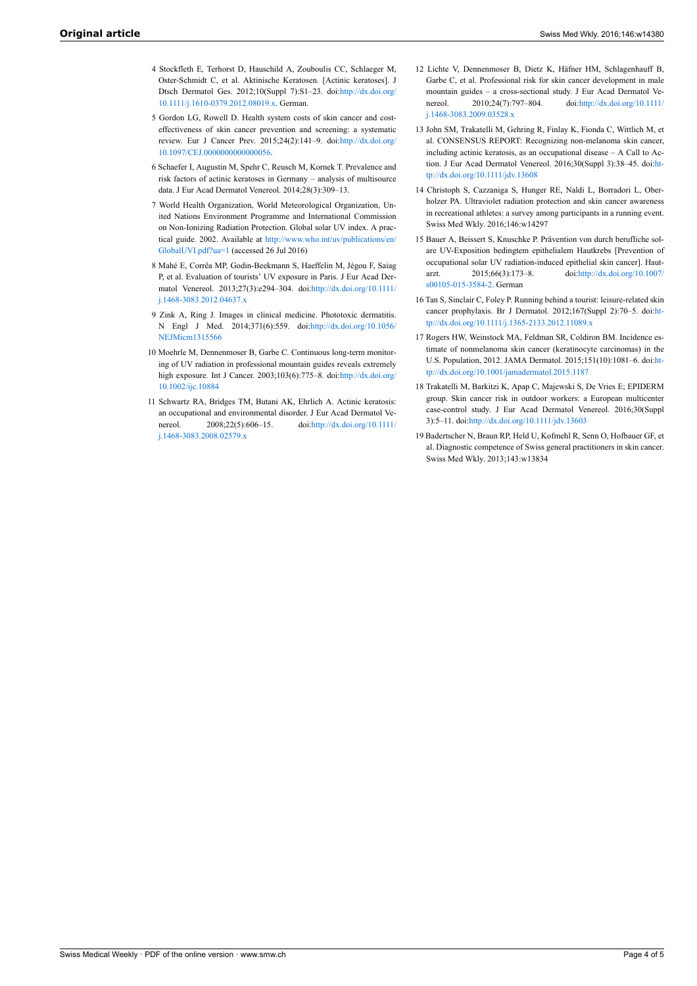- <span id="page-3-0"></span>4 Stockfleth E, Terhorst D, Hauschild A, Zouboulis CC, Schlaeger M, Oster-Schmidt C, et al. Aktinische Keratosen. [Actinic keratoses]. J Dtsch Dermatol Ges. 2012;10(Suppl 7):S1–23. doi[:http://dx.doi.org/](http://dx.doi.org/10.1111/j.1610-0379.2012.08019.x) [10.1111/j.1610-0379.2012.08019.x](http://dx.doi.org/10.1111/j.1610-0379.2012.08019.x). German.
- <span id="page-3-7"></span><span id="page-3-1"></span>5 Gordon LG, Rowell D. Health system costs of skin cancer and costeffectiveness of skin cancer prevention and screening: a systematic review. Eur J Cancer Prev. 2015;24(2):141–9. doi[:http://dx.doi.org/](http://dx.doi.org/10.1097/CEJ.0000000000000056) [10.1097/CEJ.0000000000000056](http://dx.doi.org/10.1097/CEJ.0000000000000056).
- <span id="page-3-2"></span>6 Schaefer I, Augustin M, Spehr C, Reusch M, Kornek T. Prevalence and risk factors of actinic keratoses in Germany – analysis of multisource data. J Eur Acad Dermatol Venereol. 2014;28(3):309–13.
- <span id="page-3-8"></span><span id="page-3-3"></span>7 World Health Organization, World Meteorological Organization, United Nations Environment Programme and International Commission on Non-Ionizing Radiation Protection. Global solar UV index. A practical guide. 2002. Available at [http://www.who.int/uv/publications/en/](http://www.who.int/uv/publications/en/GlobalUVI.pdf?ua=1) [GlobalUVI.pdf?ua=1](http://www.who.int/uv/publications/en/GlobalUVI.pdf?ua=1) (accessed 26 Jul 2016)
- <span id="page-3-9"></span>8 Mahé E, Corrêa MP, Godin-Beekmann S, Haeffelin M, Jégou F, Saiag P, et al. Evaluation of tourists' UV exposure in Paris. J Eur Acad Dermatol Venereol. 2013;27(3):e294–304. doi:[http://dx.doi.org/10.1111/](http://dx.doi.org/10.1111/j.1468-3083.2012.04637.x) [j.1468-3083.2012.04637.x](http://dx.doi.org/10.1111/j.1468-3083.2012.04637.x)
- <span id="page-3-10"></span><span id="page-3-4"></span>9 Zink A, Ring J. Images in clinical medicine. Phototoxic dermatitis. N Engl J Med. 2014;371(6):559. doi[:http://dx.doi.org/10.1056/](http://dx.doi.org/10.1056/NEJMicm1315566) [NEJMicm1315566](http://dx.doi.org/10.1056/NEJMicm1315566)
- <span id="page-3-11"></span><span id="page-3-5"></span>10 Moehrle M, Dennenmoser B, Garbe C. Continuous long-term monitoring of UV radiation in professional mountain guides reveals extremely high exposure. Int J Cancer. 2003;103(6):775–8. doi[:http://dx.doi.org/](http://dx.doi.org/10.1002/ijc.10884) [10.1002/ijc.10884](http://dx.doi.org/10.1002/ijc.10884)
- <span id="page-3-13"></span><span id="page-3-12"></span><span id="page-3-6"></span>11 Schwartz RA, Bridges TM, Butani AK, Ehrlich A. Actinic keratosis: an occupational and environmental disorder. J Eur Acad Dermatol Venereol. 2008;22(5):606–15. doi:[http://dx.doi.org/10.1111/](http://dx.doi.org/10.1111/j.1468-3083.2008.02579.x) [j.1468-3083.2008.02579.x](http://dx.doi.org/10.1111/j.1468-3083.2008.02579.x)
- 12 Lichte V, Dennenmoser B, Dietz K, Häfner HM, Schlagenhauff B, Garbe C, et al. Professional risk for skin cancer development in male mountain guides – a cross-sectional study. J Eur Acad Dermatol Venereol. 2010;24(7):797–804. doi[:http://dx.doi.org/10.1111/](http://dx.doi.org/10.1111/j.1468-3083.2009.03528.x) [j.1468-3083.2009.03528.x](http://dx.doi.org/10.1111/j.1468-3083.2009.03528.x)
- 13 John SM, Trakatelli M, Gehring R, Finlay K, Fionda C, Wittlich M, et al. CONSENSUS REPORT: Recognizing non-melanoma skin cancer, including actinic keratosis, as an occupational disease – A Call to Action. J Eur Acad Dermatol Venereol. 2016;30(Suppl 3):38–45. doi[:ht](http://dx.doi.org/10.1111/jdv.13608)[tp://dx.doi.org/10.1111/jdv.13608](http://dx.doi.org/10.1111/jdv.13608)
- 14 Christoph S, Cazzaniga S, Hunger RE, Naldi L, Borradori L, Oberholzer PA. Ultraviolet radiation protection and skin cancer awareness in recreational athletes: a survey among participants in a running event. Swiss Med Wkly. 2016;146:w14297
- 15 Bauer A, Beissert S, Knuschke P. Prävention von durch berufliche solare UV-Exposition bedingtem epithelialem Hautkrebs [Prevention of occupational solar UV radiation-induced epithelial skin cancer]. Hautarzt. 2015;66(3):173–8. doi:[http://dx.doi.org/10.1007/](http://dx.doi.org/10.1007/s00105-015-3584-2) [s00105-015-3584-2](http://dx.doi.org/10.1007/s00105-015-3584-2). German
- 16 Tan S, Sinclair C, Foley P. Running behind a tourist: leisure-related skin cancer prophylaxis. Br J Dermatol. 2012;167(Suppl 2):70–5. doi[:ht](http://dx.doi.org/10.1111/j.1365-2133.2012.11089.x)[tp://dx.doi.org/10.1111/j.1365-2133.2012.11089.x](http://dx.doi.org/10.1111/j.1365-2133.2012.11089.x)
- 17 Rogers HW, Weinstock MA, Feldman SR, Coldiron BM. Incidence estimate of nonmelanoma skin cancer (keratinocyte carcinomas) in the U.S. Population, 2012. JAMA Dermatol. 2015;151(10):1081–6. doi[:ht](http://dx.doi.org/10.1001/jamadermatol.2015.1187)[tp://dx.doi.org/10.1001/jamadermatol.2015.1187](http://dx.doi.org/10.1001/jamadermatol.2015.1187)
- 18 Trakatelli M, Barkitzi K, Apap C, Majewski S, De Vries E; EPIDERM group. Skin cancer risk in outdoor workers: a European multicenter case-control study. J Eur Acad Dermatol Venereol. 2016;30(Suppl 3):5–11. doi[:http://dx.doi.org/10.1111/jdv.13603](http://dx.doi.org/10.1111/jdv.13603)
- 19 Badertscher N, Braun RP, Held U, Kofmehl R, Senn O, Hofbauer GF, et al. Diagnostic competence of Swiss general practitioners in skin cancer. Swiss Med Wkly. 2013;143:w13834